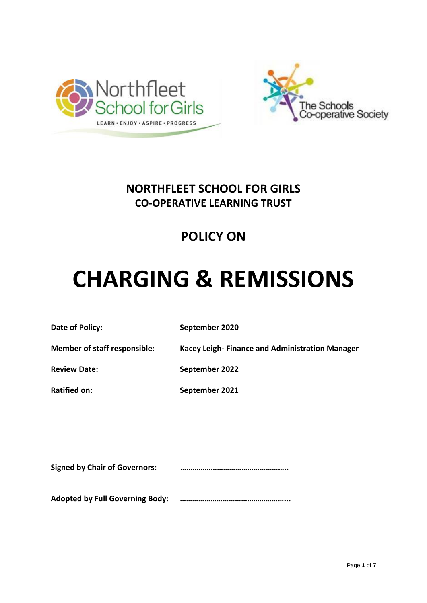



### **NORTHFLEET SCHOOL FOR GIRLS CO-OPERATIVE LEARNING TRUST**

## **POLICY ON**

# **CHARGING & REMISSIONS**

**Date of Policy:** September 2020

**Member of staff responsible: Kacey Leigh- Finance and Administration Manager**

**Review Date:** September 2022

**Ratified on: September 2021**

**Signed by Chair of Governors: ……………………………………………..**

**Adopted by Full Governing Body: ……………………………………………...**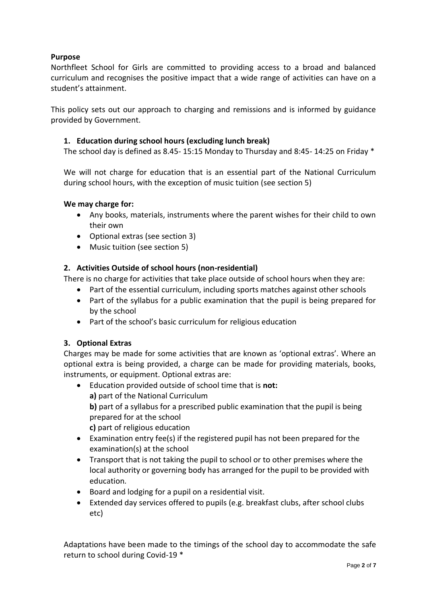#### **Purpose**

Northfleet School for Girls are committed to providing access to a broad and balanced curriculum and recognises the positive impact that a wide range of activities can have on a student's attainment.

This policy sets out our approach to charging and remissions and is informed by guidance provided by Government.

#### **1. Education during school hours (excluding lunch break)**

The school day is defined as 8.45- 15:15 Monday to Thursday and 8:45- 14:25 on Friday \*

We will not charge for education that is an essential part of the National Curriculum during school hours, with the exception of music tuition (see section 5)

#### **We may charge for:**

- Any books, materials, instruments where the parent wishes for their child to own their own
- Optional extras (see section 3)
- Music tuition (see section 5)

#### **2. Activities Outside of school hours (non-residential)**

There is no charge for activities that take place outside of school hours when they are:

- Part of the essential curriculum, including sports matches against other schools
- Part of the syllabus for a public examination that the pupil is being prepared for by the school
- Part of the school's basic curriculum for religious education

#### **3. Optional Extras**

Charges may be made for some activities that are known as 'optional extras'. Where an optional extra is being provided, a charge can be made for providing materials, books, instruments, or equipment. Optional extras are:

- Education provided outside of school time that is **not: a)** part of the National Curriculum **b)** part of a syllabus for a prescribed public examination that the pupil is being prepared for at the school **c)** part of religious education
- Examination entry fee(s) if the registered pupil has not been prepared for the examination(s) at the school
- Transport that is not taking the pupil to school or to other premises where the local authority or governing body has arranged for the pupil to be provided with education*.*
- Board and lodging for a pupil on a residential visit.
- Extended day services offered to pupils (e.g. breakfast clubs, after school clubs etc)

Adaptations have been made to the timings of the school day to accommodate the safe return to school during Covid-19 \*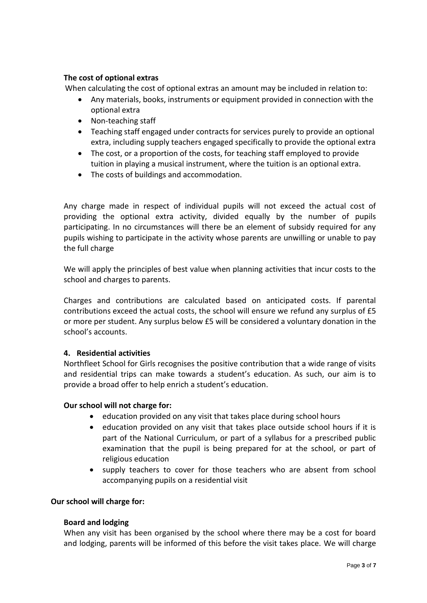#### **The cost of optional extras**

When calculating the cost of optional extras an amount may be included in relation to:

- Any materials, books, instruments or equipment provided in connection with the optional extra
- Non-teaching staff
- Teaching staff engaged under contracts for services purely to provide an optional extra, including supply teachers engaged specifically to provide the optional extra
- The cost, or a proportion of the costs, for teaching staff employed to provide tuition in playing a musical instrument, where the tuition is an optional extra.
- The costs of buildings and accommodation.

Any charge made in respect of individual pupils will not exceed the actual cost of providing the optional extra activity, divided equally by the number of pupils participating. In no circumstances will there be an element of subsidy required for any pupils wishing to participate in the activity whose parents are unwilling or unable to pay the full charge

We will apply the principles of best value when planning activities that incur costs to the school and charges to parents.

Charges and contributions are calculated based on anticipated costs. If parental contributions exceed the actual costs, the school will ensure we refund any surplus of £5 or more per student. Any surplus below £5 will be considered a voluntary donation in the school's accounts.

#### **4. Residential activities**

Northfleet School for Girls recognises the positive contribution that a wide range of visits and residential trips can make towards a student's education. As such, our aim is to provide a broad offer to help enrich a student's education.

#### **Our school will not charge for:**

- education provided on any visit that takes place during school hours
- education provided on any visit that takes place outside school hours if it is part of the National Curriculum, or part of a syllabus for a prescribed public examination that the pupil is being prepared for at the school, or part of religious education
- supply teachers to cover for those teachers who are absent from school accompanying pupils on a residential visit

#### **Our school will charge for:**

#### **Board and lodging**

When any visit has been organised by the school where there may be a cost for board and lodging, parents will be informed of this before the visit takes place. We will charge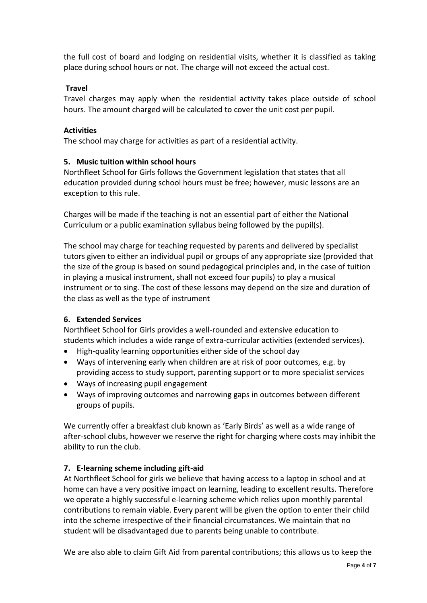the full cost of board and lodging on residential visits, whether it is classified as taking place during school hours or not. The charge will not exceed the actual cost.

#### **Travel**

Travel charges may apply when the residential activity takes place outside of school hours. The amount charged will be calculated to cover the unit cost per pupil.

#### **Activities**

The school may charge for activities as part of a residential activity.

#### **5. Music tuition within school hours**

Northfleet School for Girls follows the Government legislation that states that all education provided during school hours must be free; however, music lessons are an exception to this rule.

Charges will be made if the teaching is not an essential part of either the National Curriculum or a public examination syllabus being followed by the pupil(s).

The school may charge for teaching requested by parents and delivered by specialist tutors given to either an individual pupil or groups of any appropriate size (provided that the size of the group is based on sound pedagogical principles and, in the case of tuition in playing a musical instrument, shall not exceed four pupils) to play a musical instrument or to sing. The cost of these lessons may depend on the size and duration of the class as well as the type of instrument

#### **6. Extended Services**

Northfleet School for Girls provides a well-rounded and extensive education to students which includes a wide range of extra-curricular activities (extended services).

- High-quality learning opportunities either side of the school day
- Ways of intervening early when children are at risk of poor outcomes, e.g. by providing access to study support, parenting support or to more specialist services
- Ways of increasing pupil engagement
- Ways of improving outcomes and narrowing gaps in outcomes between different groups of pupils.

We currently offer a breakfast club known as 'Early Birds' as well as a wide range of after-school clubs, however we reserve the right for charging where costs may inhibit the ability to run the club.

#### **7. E-learning scheme including gift-aid**

At Northfleet School for girls we believe that having access to a laptop in school and at home can have a very positive impact on learning, leading to excellent results. Therefore we operate a highly successful e-learning scheme which relies upon monthly parental contributions to remain viable. Every parent will be given the option to enter their child into the scheme irrespective of their financial circumstances. We maintain that no student will be disadvantaged due to parents being unable to contribute.

We are also able to claim Gift Aid from parental contributions; this allows us to keep the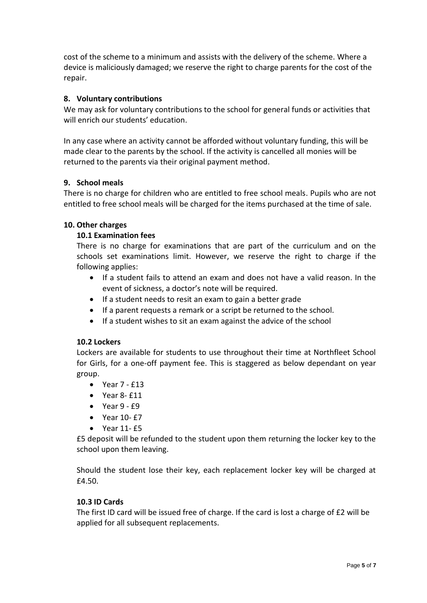cost of the scheme to a minimum and assists with the delivery of the scheme. Where a device is maliciously damaged; we reserve the right to charge parents for the cost of the repair.

#### **8. Voluntary contributions**

We may ask for voluntary contributions to the school for general funds or activities that will enrich our students' education.

In any case where an activity cannot be afforded without voluntary funding, this will be made clear to the parents by the school. If the activity is cancelled all monies will be returned to the parents via their original payment method.

#### **9. School meals**

There is no charge for children who are entitled to free school meals. Pupils who are not entitled to free school meals will be charged for the items purchased at the time of sale.

#### **10. Other charges**

#### **10.1 Examination fees**

There is no charge for examinations that are part of the curriculum and on the schools set examinations limit. However, we reserve the right to charge if the following applies:

- If a student fails to attend an exam and does not have a valid reason. In the event of sickness, a doctor's note will be required.
- If a student needs to resit an exam to gain a better grade
- If a parent requests a remark or a script be returned to the school.
- If a student wishes to sit an exam against the advice of the school

#### **10.2 Lockers**

Lockers are available for students to use throughout their time at Northfleet School for Girls, for a one-off payment fee. This is staggered as below dependant on year group.

- Year 7 £13
- Year 8- £11
- $\bullet$  Year 9  $f9$
- Year 10- £7
- Year 11- £5

£5 deposit will be refunded to the student upon them returning the locker key to the school upon them leaving.

Should the student lose their key, each replacement locker key will be charged at £4.50.

#### **10.3 ID Cards**

The first ID card will be issued free of charge. If the card is lost a charge of £2 will be applied for all subsequent replacements.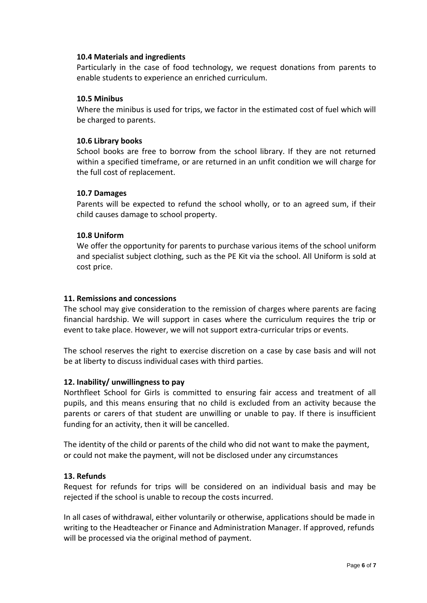#### **10.4 Materials and ingredients**

Particularly in the case of food technology, we request donations from parents to enable students to experience an enriched curriculum.

#### **10.5 Minibus**

Where the minibus is used for trips, we factor in the estimated cost of fuel which will be charged to parents.

#### **10.6 Library books**

School books are free to borrow from the school library. If they are not returned within a specified timeframe, or are returned in an unfit condition we will charge for the full cost of replacement.

#### **10.7 Damages**

Parents will be expected to refund the school wholly, or to an agreed sum, if their child causes damage to school property.

#### **10.8 Uniform**

We offer the opportunity for parents to purchase various items of the school uniform and specialist subject clothing, such as the PE Kit via the school. All Uniform is sold at cost price.

#### **11. Remissions and concessions**

The school may give consideration to the remission of charges where parents are facing financial hardship. We will support in cases where the curriculum requires the trip or event to take place. However, we will not support extra-curricular trips or events.

The school reserves the right to exercise discretion on a case by case basis and will not be at liberty to discuss individual cases with third parties.

#### **12. Inability/ unwillingness to pay**

Northfleet School for Girls is committed to ensuring fair access and treatment of all pupils, and this means ensuring that no child is excluded from an activity because the parents or carers of that student are unwilling or unable to pay. If there is insufficient funding for an activity, then it will be cancelled.

The identity of the child or parents of the child who did not want to make the payment, or could not make the payment, will not be disclosed under any circumstances

#### **13. Refunds**

Request for refunds for trips will be considered on an individual basis and may be rejected if the school is unable to recoup the costs incurred.

In all cases of withdrawal, either voluntarily or otherwise, applications should be made in writing to the Headteacher or Finance and Administration Manager. If approved, refunds will be processed via the original method of payment.